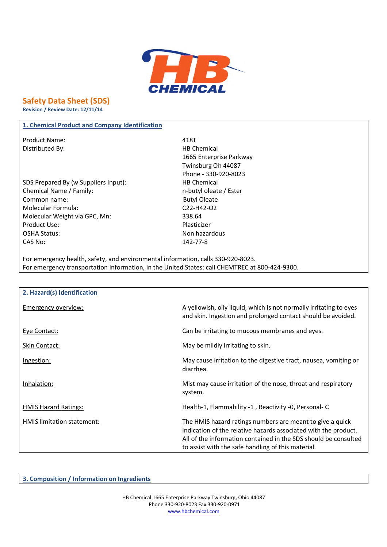

# **Safety Data Sheet (SDS)**

**Revision / Review Date: 12/11/14**

## **1. Chemical Product and Company Identification**

Product Name: 418T Distributed By: Notice and Security and Security HB Chemical

SDS Prepared By (w Suppliers Input): HB Chemical Chemical Name / Family: n-butyl oleate / Ester Common name: Sales and the Butyl Oleate Molecular Formula: C22-H42-O2 Molecular Weight via GPC, Mn: 338.64 Product Use: Product Use: OSHA Status: Non hazardous CAS No: 142-77-8

1665 Enterprise Parkway Twinsburg Oh 44087 Phone - 330-920-8023

For emergency health, safety, and environmental information, calls 330-920-8023. For emergency transportation information, in the United States: call CHEMTREC at 800-424-9300.

| 2. Hazard(s) Identification |                                                                                                                                                                                                                                                       |
|-----------------------------|-------------------------------------------------------------------------------------------------------------------------------------------------------------------------------------------------------------------------------------------------------|
| Emergency overview:         | A yellowish, oily liquid, which is not normally irritating to eyes<br>and skin. Ingestion and prolonged contact should be avoided.                                                                                                                    |
| Eye Contact:                | Can be irritating to mucous membranes and eyes.                                                                                                                                                                                                       |
| <b>Skin Contact:</b>        | May be mildly irritating to skin.                                                                                                                                                                                                                     |
| Ingestion:                  | May cause irritation to the digestive tract, nausea, vomiting or<br>diarrhea.                                                                                                                                                                         |
| Inhalation:                 | Mist may cause irritation of the nose, throat and respiratory<br>system.                                                                                                                                                                              |
| <b>HMIS Hazard Ratings:</b> | Health-1, Flammability -1, Reactivity -0, Personal-C                                                                                                                                                                                                  |
| HMIS limitation statement:  | The HMIS hazard ratings numbers are meant to give a quick<br>indication of the relative hazards associated with the product.<br>All of the information contained in the SDS should be consulted<br>to assist with the safe handling of this material. |

**3. Composition / Information on Ingredients**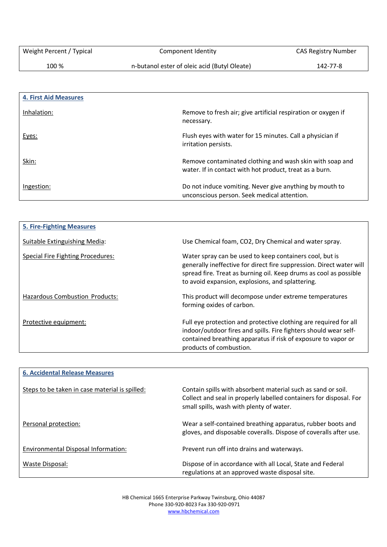100 % n-butanol ester of oleic acid (Butyl Oleate) 142-77-8

| <b>4. First Aid Measures</b> |                                                                                                                     |
|------------------------------|---------------------------------------------------------------------------------------------------------------------|
| Inhalation:                  | Remove to fresh air; give artificial respiration or oxygen if<br>necessary.                                         |
| Eyes:                        | Flush eyes with water for 15 minutes. Call a physician if<br>irritation persists.                                   |
| Skin:                        | Remove contaminated clothing and wash skin with soap and<br>water. If in contact with hot product, treat as a burn. |
| Ingestion:                   | Do not induce vomiting. Never give anything by mouth to<br>unconscious person. Seek medical attention.              |

| <b>5. Fire-Fighting Measures</b>  |                                                                                                                                                                                                                                                          |
|-----------------------------------|----------------------------------------------------------------------------------------------------------------------------------------------------------------------------------------------------------------------------------------------------------|
| Suitable Extinguishing Media:     | Use Chemical foam, CO2, Dry Chemical and water spray.                                                                                                                                                                                                    |
| Special Fire Fighting Procedures: | Water spray can be used to keep containers cool, but is<br>generally ineffective for direct fire suppression. Direct water will<br>spread fire. Treat as burning oil. Keep drums as cool as possible<br>to avoid expansion, explosions, and splattering. |
| Hazardous Combustion Products:    | This product will decompose under extreme temperatures<br>forming oxides of carbon.                                                                                                                                                                      |
| Protective equipment:             | Full eye protection and protective clothing are required for all<br>indoor/outdoor fires and spills. Fire fighters should wear self-<br>contained breathing apparatus if risk of exposure to vapor or<br>products of combustion.                         |

| <b>6. Accidental Release Measures</b>          |                                                                                                                                                                                |
|------------------------------------------------|--------------------------------------------------------------------------------------------------------------------------------------------------------------------------------|
| Steps to be taken in case material is spilled: | Contain spills with absorbent material such as sand or soil.<br>Collect and seal in properly labelled containers for disposal. For<br>small spills, wash with plenty of water. |
| Personal protection:                           | Wear a self-contained breathing apparatus, rubber boots and<br>gloves, and disposable coveralls. Dispose of coveralls after use.                                               |
| Environmental Disposal Information:            | Prevent run off into drains and waterways.                                                                                                                                     |
| Waste Disposal:                                | Dispose of in accordance with all Local, State and Federal<br>regulations at an approved waste disposal site.                                                                  |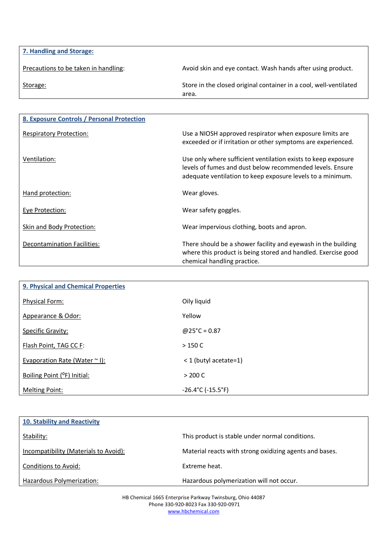| 7. Handling and Storage:             |                                                                            |
|--------------------------------------|----------------------------------------------------------------------------|
| Precautions to be taken in handling: | Avoid skin and eye contact. Wash hands after using product.                |
| Storage:                             | Store in the closed original container in a cool, well-ventilated<br>area. |

| 8. Exposure Controls / Personal Protection |                                                                                                                                                                                          |
|--------------------------------------------|------------------------------------------------------------------------------------------------------------------------------------------------------------------------------------------|
| <b>Respiratory Protection:</b>             | Use a NIOSH approved respirator when exposure limits are<br>exceeded or if irritation or other symptoms are experienced.                                                                 |
| Ventilation:                               | Use only where sufficient ventilation exists to keep exposure<br>levels of fumes and dust below recommended levels. Ensure<br>adequate ventilation to keep exposure levels to a minimum. |
| Hand protection:                           | Wear gloves.                                                                                                                                                                             |
| Eye Protection:                            | Wear safety goggles.                                                                                                                                                                     |
| Skin and Body Protection:                  | Wear impervious clothing, boots and apron.                                                                                                                                               |
| Decontamination Facilities:                | There should be a shower facility and eyewash in the building<br>where this product is being stored and handled. Exercise good<br>chemical handling practice.                            |

| <b>9. Physical and Chemical Properties</b> |                                        |
|--------------------------------------------|----------------------------------------|
| <b>Physical Form:</b>                      | Oily liquid                            |
| Appearance & Odor:                         | Yellow                                 |
| <b>Specific Gravity:</b>                   | $@25^{\circ}C = 0.87$                  |
| Flash Point, TAG CC F:                     | >150C                                  |
| Evaporation Rate (Water $\sim$ I):         | $<$ 1 (butyl acetate=1)                |
| Boiling Point ( <sup>o</sup> F) Initial:   | > 200 C                                |
| <b>Melting Point:</b>                      | $-26.4^{\circ}$ C ( $-15.5^{\circ}$ F) |

| <b>10. Stability and Reactivity</b>   |                                                         |
|---------------------------------------|---------------------------------------------------------|
| Stability:                            | This product is stable under normal conditions.         |
| Incompatibility (Materials to Avoid): | Material reacts with strong oxidizing agents and bases. |
| Conditions to Avoid:                  | Extreme heat.                                           |
| Hazardous Polymerization:             | Hazardous polymerization will not occur.                |

HB Chemical 1665 Enterprise Parkway Twinsburg, Ohio 44087 Phone 330-920-8023 Fax 330-920-0971 www.hbchemical.com